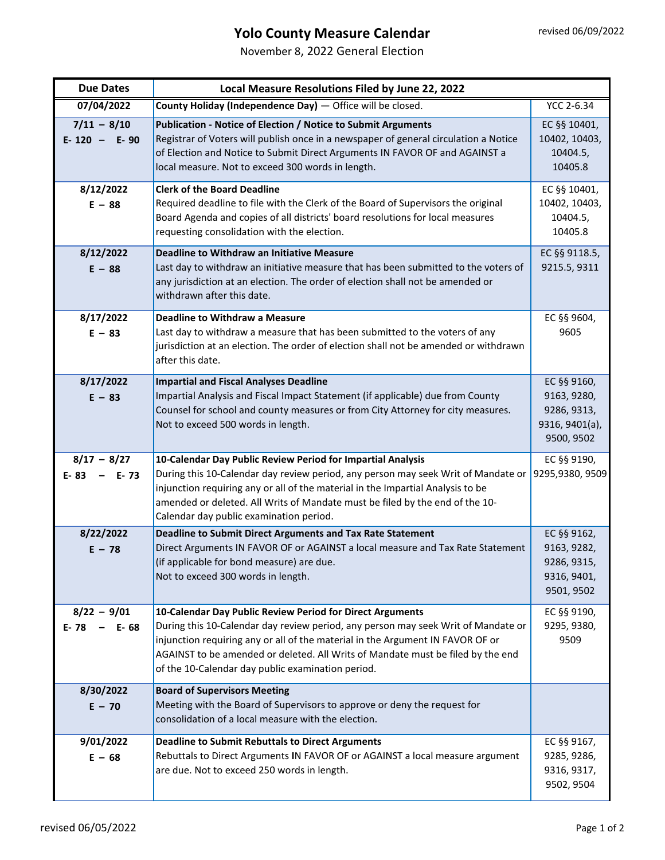## **Yolo County Measure Calendar**

November 8, 2022 General Election

| <b>Due Dates</b>                    | Local Measure Resolutions Filed by June 22, 2022                                                                                                                                                                                                                                                                                                                         |                                                                           |  |
|-------------------------------------|--------------------------------------------------------------------------------------------------------------------------------------------------------------------------------------------------------------------------------------------------------------------------------------------------------------------------------------------------------------------------|---------------------------------------------------------------------------|--|
| 07/04/2022                          | County Holiday (Independence Day) - Office will be closed.                                                                                                                                                                                                                                                                                                               | <b>YCC 2-6.34</b>                                                         |  |
| $7/11 - 8/10$<br>$E - 120 - E - 90$ | Publication - Notice of Election / Notice to Submit Arguments<br>Registrar of Voters will publish once in a newspaper of general circulation a Notice<br>of Election and Notice to Submit Direct Arguments IN FAVOR OF and AGAINST a<br>local measure. Not to exceed 300 words in length.                                                                                | EC §§ 10401,<br>10402, 10403,<br>10404.5,<br>10405.8                      |  |
| 8/12/2022<br>$E - 88$               | <b>Clerk of the Board Deadline</b><br>Required deadline to file with the Clerk of the Board of Supervisors the original<br>Board Agenda and copies of all districts' board resolutions for local measures<br>requesting consolidation with the election.                                                                                                                 | EC §§ 10401,<br>10402, 10403,<br>10404.5,<br>10405.8                      |  |
| 8/12/2022<br>$E - 88$               | <b>Deadline to Withdraw an Initiative Measure</b><br>Last day to withdraw an initiative measure that has been submitted to the voters of<br>any jurisdiction at an election. The order of election shall not be amended or<br>withdrawn after this date.                                                                                                                 | EC §§ 9118.5,<br>9215.5, 9311                                             |  |
| 8/17/2022<br>$E - 83$               | <b>Deadline to Withdraw a Measure</b><br>Last day to withdraw a measure that has been submitted to the voters of any<br>jurisdiction at an election. The order of election shall not be amended or withdrawn<br>after this date.                                                                                                                                         | EC §§ 9604,<br>9605                                                       |  |
| 8/17/2022<br>$E - 83$               | <b>Impartial and Fiscal Analyses Deadline</b><br>Impartial Analysis and Fiscal Impact Statement (if applicable) due from County<br>Counsel for school and county measures or from City Attorney for city measures.<br>Not to exceed 500 words in length.                                                                                                                 | EC §§ 9160,<br>9163, 9280,<br>9286, 9313,<br>9316, 9401(a),<br>9500, 9502 |  |
| $8/17 - 8/27$<br>$E-83 - E-73$      | 10-Calendar Day Public Review Period for Impartial Analysis<br>During this 10-Calendar day review period, any person may seek Writ of Mandate or<br>injunction requiring any or all of the material in the Impartial Analysis to be<br>amended or deleted. All Writs of Mandate must be filed by the end of the 10-<br>Calendar day public examination period.           | EC §§ 9190,<br>9295,9380, 9509                                            |  |
| 8/22/2022<br>$E - 78$               | Deadline to Submit Direct Arguments and Tax Rate Statement<br>Direct Arguments IN FAVOR OF or AGAINST a local measure and Tax Rate Statement<br>(if applicable for bond measure) are due.<br>Not to exceed 300 words in length.                                                                                                                                          | EC §§ 9162,<br>9163, 9282,<br>9286, 9315,<br>9316, 9401,<br>9501, 9502    |  |
| $8/22 - 9/01$<br>E-78<br>$- E-68$   | 10-Calendar Day Public Review Period for Direct Arguments<br>During this 10-Calendar day review period, any person may seek Writ of Mandate or<br>injunction requiring any or all of the material in the Argument IN FAVOR OF or<br>AGAINST to be amended or deleted. All Writs of Mandate must be filed by the end<br>of the 10-Calendar day public examination period. | EC §§ 9190,<br>9295, 9380,<br>9509                                        |  |
| 8/30/2022<br>$E - 70$               | <b>Board of Supervisors Meeting</b><br>Meeting with the Board of Supervisors to approve or deny the request for<br>consolidation of a local measure with the election.                                                                                                                                                                                                   |                                                                           |  |
| 9/01/2022<br>$E - 68$               | <b>Deadline to Submit Rebuttals to Direct Arguments</b><br>Rebuttals to Direct Arguments IN FAVOR OF or AGAINST a local measure argument<br>are due. Not to exceed 250 words in length.                                                                                                                                                                                  | EC §§ 9167,<br>9285, 9286,<br>9316, 9317,<br>9502, 9504                   |  |